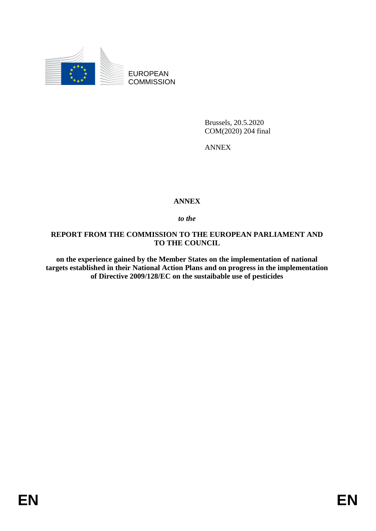

EUROPEAN **COMMISSION** 

> Brussels, 20.5.2020 COM(2020) 204 final

ANNEX

## **ANNEX**

*to the* 

## **REPORT FROM THE COMMISSION TO THE EUROPEAN PARLIAMENT AND TO THE COUNCIL**

**on the experience gained by the Member States on the implementation of national targets established in their National Action Plans and on progress in the implementation of Directive 2009/128/EC on the sustaibable use of pesticides**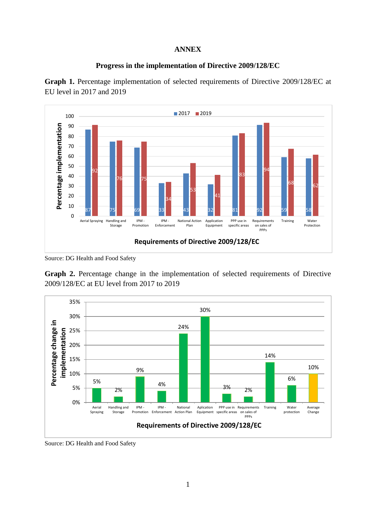## **ANNEX**



Graph 1. Percentage implementation of selected requirements of Directive 2009/128/EC at EU level in 2017 and 2019



Source: DG Health and Food Safety

**Graph 2.** Percentage change in the implementation of selected requirements of Directive 2009/128/EC at EU level from 2017 to 2019



Source: DG Health and Food Safety